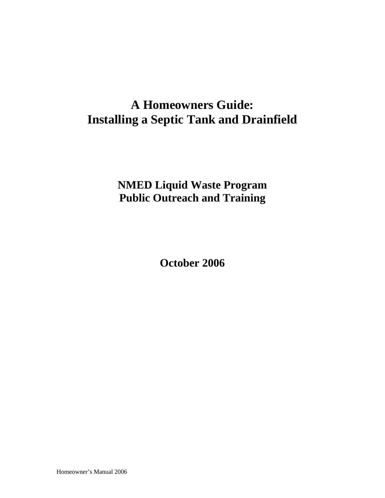# **A Homeowners Guide: Installing a Septic Tank and Drainfield**

**NMED Liquid Waste Program Public Outreach and Training** 

**October 2006** 

Homeowner's Manual 2006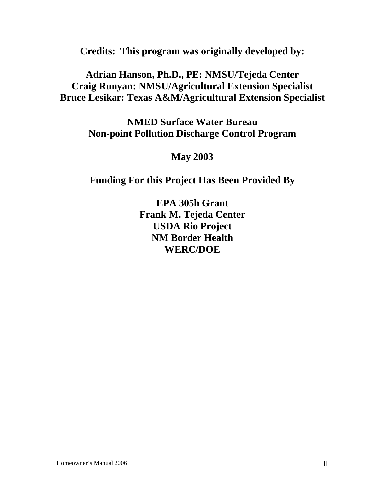**Credits: This program was originally developed by:** 

**Adrian Hanson, Ph.D., PE: NMSU/Tejeda Center Craig Runyan: NMSU/Agricultural Extension Specialist Bruce Lesikar: Texas A&M/Agricultural Extension Specialist**

> **NMED Surface Water Bureau Non-point Pollution Discharge Control Program**

> > **May 2003**

**Funding For this Project Has Been Provided By** 

**EPA 305h Grant Frank M. Tejeda Center USDA Rio Project NM Border Health WERC/DOE**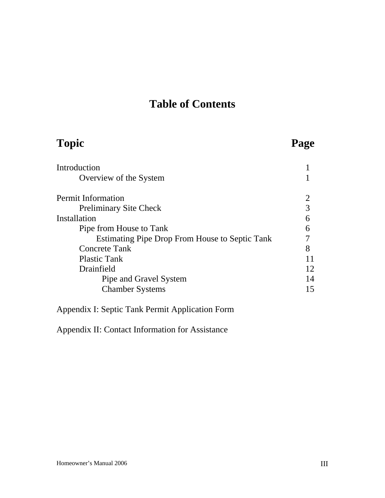## **Table of Contents**

| <b>Topic</b>                                          |    |
|-------------------------------------------------------|----|
| Introduction                                          |    |
| Overview of the System                                |    |
| <b>Permit Information</b>                             | 2  |
| <b>Preliminary Site Check</b>                         | 3  |
| Installation                                          | 6  |
| Pipe from House to Tank                               | 6  |
| <b>Estimating Pipe Drop From House to Septic Tank</b> |    |
| <b>Concrete Tank</b>                                  | 8  |
| <b>Plastic Tank</b>                                   |    |
| Drainfield                                            | 12 |
| Pipe and Gravel System                                | 14 |
| <b>Chamber Systems</b>                                | 15 |

Appendix I: Septic Tank Permit Application Form

Appendix II: Contact Information for Assistance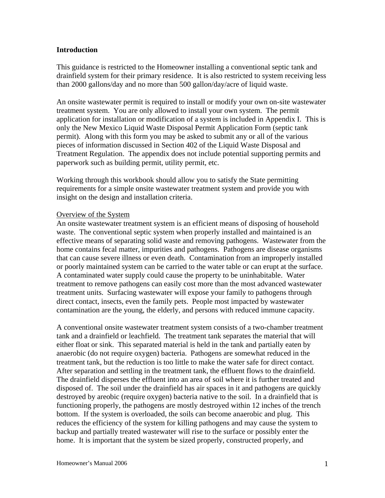#### **Introduction**

This guidance is restricted to the Homeowner installing a conventional septic tank and drainfield system for their primary residence. It is also restricted to system receiving less than 2000 gallons/day and no more than 500 gallon/day/acre of liquid waste.

An onsite wastewater permit is required to install or modify your own on-site wastewater treatment system. You are only allowed to install your own system. The permit application for installation or modification of a system is included in Appendix I. This is only the New Mexico Liquid Waste Disposal Permit Application Form (septic tank permit). Along with this form you may be asked to submit any or all of the various pieces of information discussed in Section 402 of the Liquid Waste Disposal and Treatment Regulation. The appendix does not include potential supporting permits and paperwork such as building permit, utility permit, etc.

Working through this workbook should allow you to satisfy the State permitting requirements for a simple onsite wastewater treatment system and provide you with insight on the design and installation criteria.

#### Overview of the System

An onsite wastewater treatment system is an efficient means of disposing of household waste. The conventional septic system when properly installed and maintained is an effective means of separating solid waste and removing pathogens. Wastewater from the home contains fecal matter, impurities and pathogens. Pathogens are disease organisms that can cause severe illness or even death. Contamination from an improperly installed or poorly maintained system can be carried to the water table or can erupt at the surface. A contaminated water supply could cause the property to be uninhabitable. Water treatment to remove pathogens can easily cost more than the most advanced wastewater treatment units. Surfacing wastewater will expose your family to pathogens through direct contact, insects, even the family pets. People most impacted by wastewater contamination are the young, the elderly, and persons with reduced immune capacity.

A conventional onsite wastewater treatment system consists of a two-chamber treatment tank and a drainfield or leachfield. The treatment tank separates the material that will either float or sink. This separated material is held in the tank and partially eaten by anaerobic (do not require oxygen) bacteria. Pathogens are somewhat reduced in the treatment tank, but the reduction is too little to make the water safe for direct contact. After separation and settling in the treatment tank, the effluent flows to the drainfield. The drainfield disperses the effluent into an area of soil where it is further treated and disposed of. The soil under the drainfield has air spaces in it and pathogens are quickly destroyed by areobic (require oxygen) bacteria native to the soil. In a drainfield that is functioning properly, the pathogens are mostly destroyed within 12 inches of the trench bottom. If the system is overloaded, the soils can become anaerobic and plug. This reduces the efficiency of the system for killing pathogens and may cause the system to backup and partially treated wastewater will rise to the surface or possibly enter the home. It is important that the system be sized properly, constructed properly, and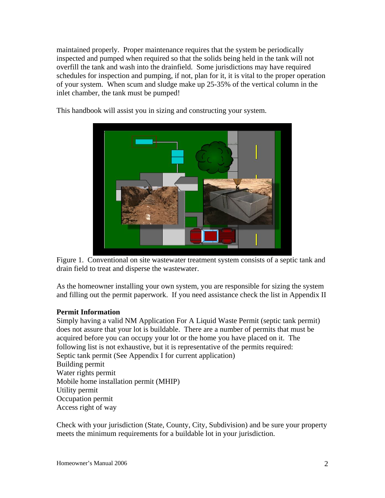maintained properly. Proper maintenance requires that the system be periodically inspected and pumped when required so that the solids being held in the tank will not overfill the tank and wash into the drainfield. Some jurisdictions may have required schedules for inspection and pumping, if not, plan for it, it is vital to the proper operation of your system. When scum and sludge make up 25-35% of the vertical column in the inlet chamber, the tank must be pumped!

This handbook will assist you in sizing and constructing your system.



Figure 1. Conventional on site wastewater treatment system consists of a septic tank and drain field to treat and disperse the wastewater.

As the homeowner installing your own system, you are responsible for sizing the system and filling out the permit paperwork. If you need assistance check the list in Appendix II

#### **Permit Information**

Simply having a valid NM Application For A Liquid Waste Permit (septic tank permit) does not assure that your lot is buildable. There are a number of permits that must be acquired before you can occupy your lot or the home you have placed on it. The following list is not exhaustive, but it is representative of the permits required: Septic tank permit (See Appendix I for current application) Building permit Water rights permit Mobile home installation permit (MHIP) Utility permit Occupation permit Access right of way

Check with your jurisdiction (State, County, City, Subdivision) and be sure your property meets the minimum requirements for a buildable lot in your jurisdiction.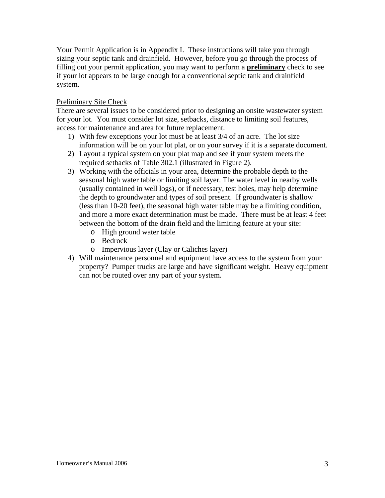Your Permit Application is in Appendix I. These instructions will take you through sizing your septic tank and drainfield. However, before you go through the process of filling out your permit application, you may want to perform a **preliminary** check to see if your lot appears to be large enough for a conventional septic tank and drainfield system.

## Preliminary Site Check

There are several issues to be considered prior to designing an onsite wastewater system for your lot. You must consider lot size, setbacks, distance to limiting soil features, access for maintenance and area for future replacement.

- 1) With few exceptions your lot must be at least 3/4 of an acre. The lot size information will be on your lot plat, or on your survey if it is a separate document.
- 2) Layout a typical system on your plat map and see if your system meets the required setbacks of Table 302.1 (illustrated in Figure 2).
- 3) Working with the officials in your area, determine the probable depth to the seasonal high water table or limiting soil layer. The water level in nearby wells (usually contained in well logs), or if necessary, test holes, may help determine the depth to groundwater and types of soil present. If groundwater is shallow (less than 10-20 feet), the seasonal high water table may be a limiting condition, and more a more exact determination must be made. There must be at least 4 feet between the bottom of the drain field and the limiting feature at your site:
	- o High ground water table
	- o Bedrock
	- o Impervious layer (Clay or Caliches layer)
- 4) Will maintenance personnel and equipment have access to the system from your property? Pumper trucks are large and have significant weight. Heavy equipment can not be routed over any part of your system.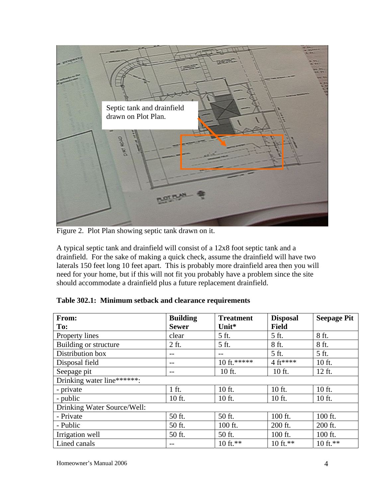

Figure 2. Plot Plan showing septic tank drawn on it.

A typical septic tank and drainfield will consist of a 12x8 foot septic tank and a drainfield. For the sake of making a quick check, assume the drainfield will have two laterals 150 feet long 10 feet apart. This is probably more drainfield area then you will need for your home, but if this will not fit you probably have a problem since the site should accommodate a drainfield plus a future replacement drainfield.

| From:                       | <b>Building</b> | <b>Treatment</b>    | <b>Disposal</b> | <b>Seepage Pit</b> |  |  |
|-----------------------------|-----------------|---------------------|-----------------|--------------------|--|--|
| To:                         | <b>Sewer</b>    | Unit*               | <b>Field</b>    |                    |  |  |
| Property lines              | clear           | 5 ft.               | 5 ft.           | 8 ft.              |  |  |
| Building or structure       | 2 ft.           | 5 ft.               | 8 ft.           | 8 ft.              |  |  |
| Distribution box            | $- -$           | $- -$               | 5 ft.           | 5 ft.              |  |  |
| Disposal field              | $- -$           | 10 ft.*****         | 4 ft****        | 10 ft.             |  |  |
| Seepage pit                 | $- -$           | 10 ft.              | 10 ft.          | 12 ft.             |  |  |
| Drinking water line******:  |                 |                     |                 |                    |  |  |
| - private                   | 1 ft.           | 10 ft.              | 10 ft.          | 10 ft.             |  |  |
| - public                    | 10 ft.          | 10 ft.              | 10 ft.          | 10 ft.             |  |  |
| Drinking Water Source/Well: |                 |                     |                 |                    |  |  |
| - Private                   | 50 ft.          | 50 ft.              | 100 ft.         | 100 ft.            |  |  |
| - Public                    | 50 ft.          | 100 ft.             | 200 ft.         | 200 ft.            |  |  |
| Irrigation well             | 50 ft.          | 50 ft.              | 100 ft.         | 100 ft.            |  |  |
| Lined canals                | $- -$           | $10 \text{ ft.}***$ | 10 ft.**        | 10 ft.**           |  |  |

**Table 302.1: Minimum setback and clearance requirements**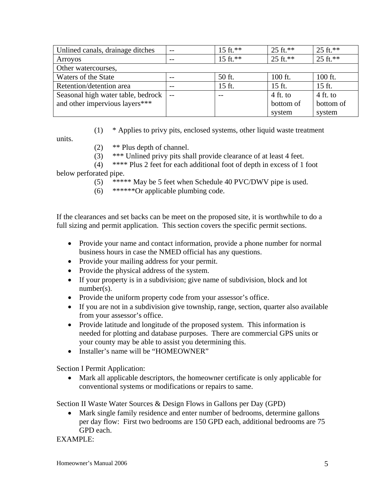| Unlined canals, drainage ditches   | $- -$ | $15 \text{ ft.}***$ | $25 \text{ ft}$ .** | $25 \text{ ft}$ .** |  |  |
|------------------------------------|-------|---------------------|---------------------|---------------------|--|--|
| <b>Arroyos</b>                     | $- -$ | 15 ft.**            | $25 \text{ ft}$ .** | $25 \text{ ft}$ .** |  |  |
| Other watercourses,                |       |                     |                     |                     |  |  |
| Waters of the State                |       | 50 ft.              | $100$ ft.           | 100 ft.             |  |  |
| Retention/detention area           |       | 15 ft.              | 15 ft.              | 15 ft.              |  |  |
| Seasonal high water table, bedrock |       |                     | $4$ ft. to          | $4$ ft. to          |  |  |
| and other impervious layers***     |       |                     | bottom of           | bottom of           |  |  |
|                                    |       |                     | system              | system              |  |  |

(1) \* Applies to privy pits, enclosed systems, other liquid waste treatment

units.

- (2) \*\* Plus depth of channel.
- (3) \*\*\* Unlined privy pits shall provide clearance of at least 4 feet.

 (4) \*\*\*\* Plus 2 feet for each additional foot of depth in excess of 1 foot below perforated pipe.

- (5) \*\*\*\*\* May be 5 feet when Schedule 40 PVC/DWV pipe is used.
- (6) \*\*\*\*\*\*Or applicable plumbing code.

If the clearances and set backs can be meet on the proposed site, it is worthwhile to do a full sizing and permit application. This section covers the specific permit sections.

- Provide your name and contact information, provide a phone number for normal business hours in case the NMED official has any questions.
- Provide your mailing address for your permit.
- Provide the physical address of the system.
- If your property is in a subdivision; give name of subdivision, block and lot number(s).
- Provide the uniform property code from your assessor's office.
- If you are not in a subdivision give township, range, section, quarter also available from your assessor's office.
- Provide latitude and longitude of the proposed system. This information is needed for plotting and database purposes. There are commercial GPS units or your county may be able to assist you determining this.
- Installer's name will be "HOMEOWNER"

Section I Permit Application:

• Mark all applicable descriptors, the homeowner certificate is only applicable for conventional systems or modifications or repairs to same.

Section II Waste Water Sources & Design Flows in Gallons per Day (GPD)

• Mark single family residence and enter number of bedrooms, determine gallons per day flow: First two bedrooms are 150 GPD each, additional bedrooms are 75 GPD each.

EXAMPLE: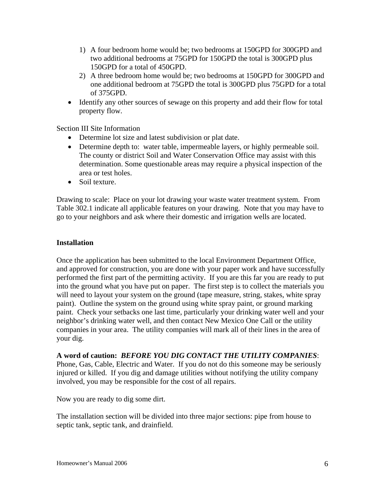- 1) A four bedroom home would be; two bedrooms at 150GPD for 300GPD and two additional bedrooms at 75GPD for 150GPD the total is 300GPD plus 150GPD for a total of 450GPD.
- 2) A three bedroom home would be; two bedrooms at 150GPD for 300GPD and one additional bedroom at 75GPD the total is 300GPD plus 75GPD for a total of 375GPD.
- Identify any other sources of sewage on this property and add their flow for total property flow.

Section III Site Information

- Determine lot size and latest subdivision or plat date.
- Determine depth to: water table, impermeable layers, or highly permeable soil. The county or district Soil and Water Conservation Office may assist with this determination. Some questionable areas may require a physical inspection of the area or test holes.
- Soil texture.

Drawing to scale: Place on your lot drawing your waste water treatment system. From Table 302.1 indicate all applicable features on your drawing. Note that you may have to go to your neighbors and ask where their domestic and irrigation wells are located.

### **Installation**

Once the application has been submitted to the local Environment Department Office, and approved for construction, you are done with your paper work and have successfully performed the first part of the permitting activity. If you are this far you are ready to put into the ground what you have put on paper. The first step is to collect the materials you will need to layout your system on the ground (tape measure, string, stakes, white spray paint). Outline the system on the ground using white spray paint, or ground marking paint. Check your setbacks one last time, particularly your drinking water well and your neighbor's drinking water well, and then contact New Mexico One Call or the utility companies in your area. The utility companies will mark all of their lines in the area of your dig.

#### **A word of caution:** *BEFORE YOU DIG CONTACT THE UTILITY COMPANIES*:

Phone, Gas, Cable, Electric and Water. If you do not do this someone may be seriously injured or killed. If you dig and damage utilities without notifying the utility company involved, you may be responsible for the cost of all repairs.

Now you are ready to dig some dirt.

The installation section will be divided into three major sections: pipe from house to septic tank, septic tank, and drainfield.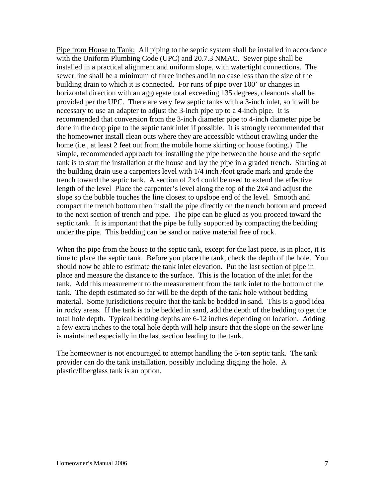Pipe from House to Tank: All piping to the septic system shall be installed in accordance with the Uniform Plumbing Code (UPC) and 20.7.3 NMAC. Sewer pipe shall be installed in a practical alignment and uniform slope, with watertight connections. The sewer line shall be a minimum of three inches and in no case less than the size of the building drain to which it is connected. For runs of pipe over 100' or changes in horizontal direction with an aggregate total exceeding 135 degrees, cleanouts shall be provided per the UPC. There are very few septic tanks with a 3-inch inlet, so it will be necessary to use an adapter to adjust the 3-inch pipe up to a 4-inch pipe. It is recommended that conversion from the 3-inch diameter pipe to 4-inch diameter pipe be done in the drop pipe to the septic tank inlet if possible. It is strongly recommended that the homeowner install clean outs where they are accessible without crawling under the home (i.e., at least 2 feet out from the mobile home skirting or house footing.) The simple, recommended approach for installing the pipe between the house and the septic tank is to start the installation at the house and lay the pipe in a graded trench. Starting at the building drain use a carpenters level with 1/4 inch /foot grade mark and grade the trench toward the septic tank. A section of 2x4 could be used to extend the effective length of the level Place the carpenter's level along the top of the 2x4 and adjust the slope so the bubble touches the line closest to upslope end of the level. Smooth and compact the trench bottom then install the pipe directly on the trench bottom and proceed to the next section of trench and pipe. The pipe can be glued as you proceed toward the septic tank. It is important that the pipe be fully supported by compacting the bedding under the pipe. This bedding can be sand or native material free of rock.

When the pipe from the house to the septic tank, except for the last piece, is in place, it is time to place the septic tank. Before you place the tank, check the depth of the hole. You should now be able to estimate the tank inlet elevation. Put the last section of pipe in place and measure the distance to the surface. This is the location of the inlet for the tank. Add this measurement to the measurement from the tank inlet to the bottom of the tank. The depth estimated so far will be the depth of the tank hole without bedding material. Some jurisdictions require that the tank be bedded in sand. This is a good idea in rocky areas. If the tank is to be bedded in sand, add the depth of the bedding to get the total hole depth. Typical bedding depths are 6-12 inches depending on location. Adding a few extra inches to the total hole depth will help insure that the slope on the sewer line is maintained especially in the last section leading to the tank.

The homeowner is not encouraged to attempt handling the 5-ton septic tank. The tank provider can do the tank installation, possibly including digging the hole. A plastic/fiberglass tank is an option.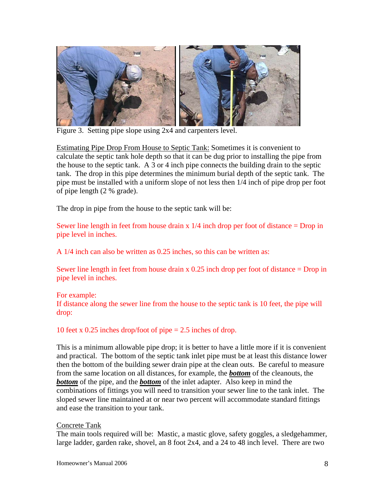

Figure 3. Setting pipe slope using 2x4 and carpenters level.

Estimating Pipe Drop From House to Septic Tank: Sometimes it is convenient to calculate the septic tank hole depth so that it can be dug prior to installing the pipe from the house to the septic tank. A 3 or 4 inch pipe connects the building drain to the septic tank. The drop in this pipe determines the minimum burial depth of the septic tank. The pipe must be installed with a uniform slope of not less then 1/4 inch of pipe drop per foot of pipe length (2 % grade).

The drop in pipe from the house to the septic tank will be:

Sewer line length in feet from house drain  $x/4$  inch drop per foot of distance = Drop in pipe level in inches.

A 1/4 inch can also be written as 0.25 inches, so this can be written as:

Sewer line length in feet from house drain x 0.25 inch drop per foot of distance = Drop in pipe level in inches.

#### For example:

If distance along the sewer line from the house to the septic tank is 10 feet, the pipe will drop:

10 feet x 0.25 inches drop/foot of pipe = 2.5 inches of drop.

This is a minimum allowable pipe drop; it is better to have a little more if it is convenient and practical. The bottom of the septic tank inlet pipe must be at least this distance lower then the bottom of the building sewer drain pipe at the clean outs. Be careful to measure from the same location on all distances, for example, the *bottom* of the cleanouts, the *bottom* of the pipe, and the *bottom* of the inlet adapter. Also keep in mind the combinations of fittings you will need to transition your sewer line to the tank inlet. The sloped sewer line maintained at or near two percent will accommodate standard fittings and ease the transition to your tank.

## Concrete Tank

The main tools required will be: Mastic, a mastic glove, safety goggles, a sledgehammer, large ladder, garden rake, shovel, an 8 foot 2x4, and a 24 to 48 inch level. There are two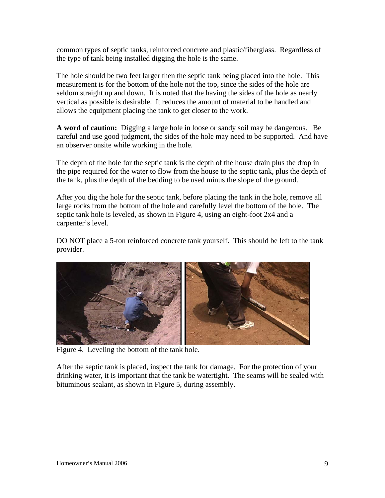common types of septic tanks, reinforced concrete and plastic/fiberglass. Regardless of the type of tank being installed digging the hole is the same.

The hole should be two feet larger then the septic tank being placed into the hole. This measurement is for the bottom of the hole not the top, since the sides of the hole are seldom straight up and down. It is noted that the having the sides of the hole as nearly vertical as possible is desirable. It reduces the amount of material to be handled and allows the equipment placing the tank to get closer to the work.

**A word of caution:** Digging a large hole in loose or sandy soil may be dangerous. Be careful and use good judgment, the sides of the hole may need to be supported. And have an observer onsite while working in the hole.

The depth of the hole for the septic tank is the depth of the house drain plus the drop in the pipe required for the water to flow from the house to the septic tank, plus the depth of the tank, plus the depth of the bedding to be used minus the slope of the ground.

After you dig the hole for the septic tank, before placing the tank in the hole, remove all large rocks from the bottom of the hole and carefully level the bottom of the hole. The septic tank hole is leveled, as shown in Figure 4, using an eight-foot 2x4 and a carpenter's level.

DO NOT place a 5-ton reinforced concrete tank yourself. This should be left to the tank provider.



Figure 4. Leveling the bottom of the tank hole.

After the septic tank is placed, inspect the tank for damage. For the protection of your drinking water, it is important that the tank be watertight. The seams will be sealed with bituminous sealant, as shown in Figure 5, during assembly.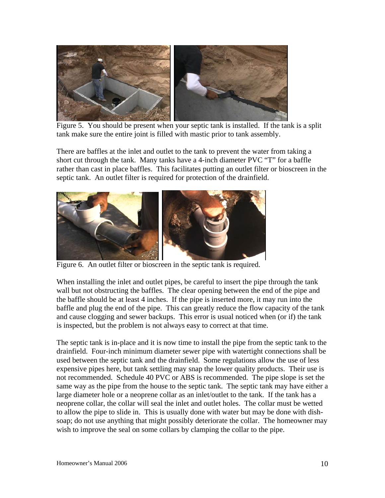

 Figure 5. You should be present when your septic tank is installed. If the tank is a split tank make sure the entire joint is filled with mastic prior to tank assembly.

There are baffles at the inlet and outlet to the tank to prevent the water from taking a short cut through the tank. Many tanks have a 4-inch diameter PVC "T" for a baffle rather than cast in place baffles. This facilitates putting an outlet filter or bioscreen in the septic tank. An outlet filter is required for protection of the drainfield.



Figure 6. An outlet filter or bioscreen in the septic tank is required.

When installing the inlet and outlet pipes, be careful to insert the pipe through the tank wall but not obstructing the baffles. The clear opening between the end of the pipe and the baffle should be at least 4 inches. If the pipe is inserted more, it may run into the baffle and plug the end of the pipe. This can greatly reduce the flow capacity of the tank and cause clogging and sewer backups. This error is usual noticed when (or if) the tank is inspected, but the problem is not always easy to correct at that time.

The septic tank is in-place and it is now time to install the pipe from the septic tank to the drainfield. Four-inch minimum diameter sewer pipe with watertight connections shall be used between the septic tank and the drainfield. Some regulations allow the use of less expensive pipes here, but tank settling may snap the lower quality products. Their use is not recommended. Schedule 40 PVC or ABS is recommended. The pipe slope is set the same way as the pipe from the house to the septic tank. The septic tank may have either a large diameter hole or a neoprene collar as an inlet/outlet to the tank. If the tank has a neoprene collar, the collar will seal the inlet and outlet holes. The collar must be wetted to allow the pipe to slide in. This is usually done with water but may be done with dishsoap; do not use anything that might possibly deteriorate the collar. The homeowner may wish to improve the seal on some collars by clamping the collar to the pipe.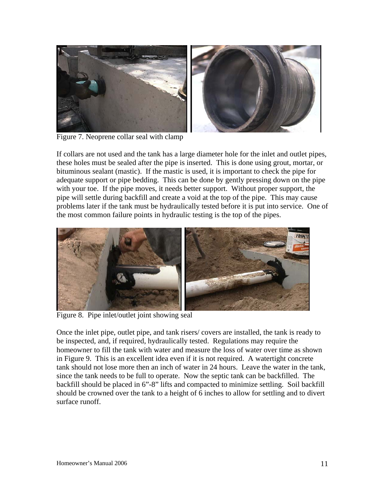

Figure 7. Neoprene collar seal with clamp

If collars are not used and the tank has a large diameter hole for the inlet and outlet pipes, these holes must be sealed after the pipe is inserted. This is done using grout, mortar, or bituminous sealant (mastic). If the mastic is used, it is important to check the pipe for adequate support or pipe bedding. This can be done by gently pressing down on the pipe with your toe. If the pipe moves, it needs better support. Without proper support, the pipe will settle during backfill and create a void at the top of the pipe. This may cause problems later if the tank must be hydraulically tested before it is put into service. One of the most common failure points in hydraulic testing is the top of the pipes.



Figure 8. Pipe inlet/outlet joint showing seal

Once the inlet pipe, outlet pipe, and tank risers/ covers are installed, the tank is ready to be inspected, and, if required, hydraulically tested. Regulations may require the homeowner to fill the tank with water and measure the loss of water over time as shown in Figure 9. This is an excellent idea even if it is not required. A watertight concrete tank should not lose more then an inch of water in 24 hours. Leave the water in the tank, since the tank needs to be full to operate. Now the septic tank can be backfilled. The backfill should be placed in 6"-8" lifts and compacted to minimize settling. Soil backfill should be crowned over the tank to a height of 6 inches to allow for settling and to divert surface runoff.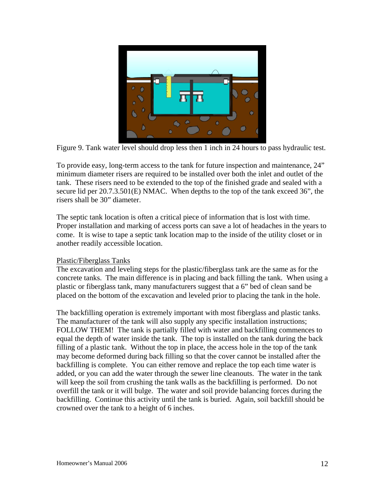

Figure 9. Tank water level should drop less then 1 inch in 24 hours to pass hydraulic test.

To provide easy, long-term access to the tank for future inspection and maintenance, 24" minimum diameter risers are required to be installed over both the inlet and outlet of the tank. These risers need to be extended to the top of the finished grade and sealed with a secure lid per 20.7.3.501(E) NMAC. When depths to the top of the tank exceed 36", the risers shall be 30" diameter.

The septic tank location is often a critical piece of information that is lost with time. Proper installation and marking of access ports can save a lot of headaches in the years to come. It is wise to tape a septic tank location map to the inside of the utility closet or in another readily accessible location.

## Plastic/Fiberglass Tanks

The excavation and leveling steps for the plastic/fiberglass tank are the same as for the concrete tanks. The main difference is in placing and back filling the tank. When using a plastic or fiberglass tank, many manufacturers suggest that a 6" bed of clean sand be placed on the bottom of the excavation and leveled prior to placing the tank in the hole.

The backfilling operation is extremely important with most fiberglass and plastic tanks. The manufacturer of the tank will also supply any specific installation instructions; FOLLOW THEM! The tank is partially filled with water and backfilling commences to equal the depth of water inside the tank. The top is installed on the tank during the back filling of a plastic tank. Without the top in place, the access hole in the top of the tank may become deformed during back filling so that the cover cannot be installed after the backfilling is complete. You can either remove and replace the top each time water is added, or you can add the water through the sewer line cleanouts. The water in the tank will keep the soil from crushing the tank walls as the backfilling is performed. Do not overfill the tank or it will bulge. The water and soil provide balancing forces during the backfilling. Continue this activity until the tank is buried. Again, soil backfill should be crowned over the tank to a height of 6 inches.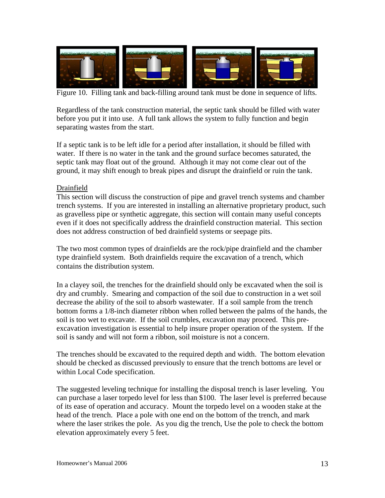

Figure 10. Filling tank and back-filling around tank must be done in sequence of lifts.

Regardless of the tank construction material, the septic tank should be filled with water before you put it into use. A full tank allows the system to fully function and begin separating wastes from the start.

If a septic tank is to be left idle for a period after installation, it should be filled with water. If there is no water in the tank and the ground surface becomes saturated, the septic tank may float out of the ground. Although it may not come clear out of the ground, it may shift enough to break pipes and disrupt the drainfield or ruin the tank.

### Drainfield

This section will discuss the construction of pipe and gravel trench systems and chamber trench systems. If you are interested in installing an alternative proprietary product, such as gravelless pipe or synthetic aggregate, this section will contain many useful concepts even if it does not specifically address the drainfield construction material. This section does not address construction of bed drainfield systems or seepage pits.

The two most common types of drainfields are the rock/pipe drainfield and the chamber type drainfield system. Both drainfields require the excavation of a trench, which contains the distribution system.

In a clayey soil, the trenches for the drainfield should only be excavated when the soil is dry and crumbly. Smearing and compaction of the soil due to construction in a wet soil decrease the ability of the soil to absorb wastewater. If a soil sample from the trench bottom forms a 1/8-inch diameter ribbon when rolled between the palms of the hands, the soil is too wet to excavate. If the soil crumbles, excavation may proceed. This preexcavation investigation is essential to help insure proper operation of the system. If the soil is sandy and will not form a ribbon, soil moisture is not a concern.

The trenches should be excavated to the required depth and width. The bottom elevation should be checked as discussed previously to ensure that the trench bottoms are level or within Local Code specification.

The suggested leveling technique for installing the disposal trench is laser leveling. You can purchase a laser torpedo level for less than \$100. The laser level is preferred because of its ease of operation and accuracy. Mount the torpedo level on a wooden stake at the head of the trench. Place a pole with one end on the bottom of the trench, and mark where the laser strikes the pole. As you dig the trench, Use the pole to check the bottom elevation approximately every 5 feet.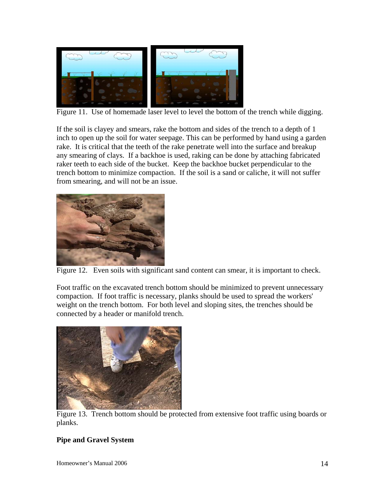

Figure 11. Use of homemade laser level to level the bottom of the trench while digging.

If the soil is clayey and smears, rake the bottom and sides of the trench to a depth of 1 inch to open up the soil for water seepage. This can be performed by hand using a garden rake. It is critical that the teeth of the rake penetrate well into the surface and breakup any smearing of clays. If a backhoe is used, raking can be done by attaching fabricated raker teeth to each side of the bucket. Keep the backhoe bucket perpendicular to the trench bottom to minimize compaction. If the soil is a sand or caliche, it will not suffer from smearing, and will not be an issue.



Figure 12. Even soils with significant sand content can smear, it is important to check.

Foot traffic on the excavated trench bottom should be minimized to prevent unnecessary compaction. If foot traffic is necessary, planks should be used to spread the workers' weight on the trench bottom. For both level and sloping sites, the trenches should be connected by a header or manifold trench.



Figure 13. Trench bottom should be protected from extensive foot traffic using boards or planks.

## **Pipe and Gravel System**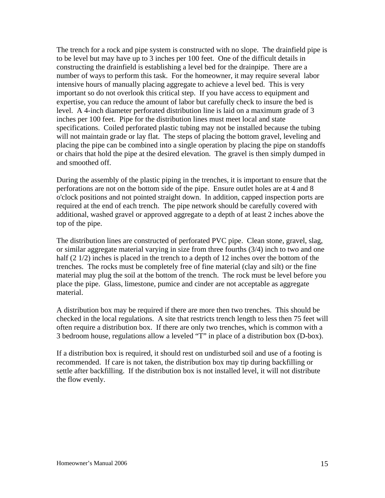The trench for a rock and pipe system is constructed with no slope. The drainfield pipe is to be level but may have up to 3 inches per 100 feet. One of the difficult details in constructing the drainfield is establishing a level bed for the drainpipe. There are a number of ways to perform this task. For the homeowner, it may require several labor intensive hours of manually placing aggregate to achieve a level bed. This is very important so do not overlook this critical step. If you have access to equipment and expertise, you can reduce the amount of labor but carefully check to insure the bed is level. A 4-inch diameter perforated distribution line is laid on a maximum grade of 3 inches per 100 feet. Pipe for the distribution lines must meet local and state specifications. Coiled perforated plastic tubing may not be installed because the tubing will not maintain grade or lay flat. The steps of placing the bottom gravel, leveling and placing the pipe can be combined into a single operation by placing the pipe on standoffs or chairs that hold the pipe at the desired elevation. The gravel is then simply dumped in and smoothed off.

During the assembly of the plastic piping in the trenches, it is important to ensure that the perforations are not on the bottom side of the pipe. Ensure outlet holes are at 4 and 8 o'clock positions and not pointed straight down. In addition, capped inspection ports are required at the end of each trench. The pipe network should be carefully covered with additional, washed gravel or approved aggregate to a depth of at least 2 inches above the top of the pipe.

The distribution lines are constructed of perforated PVC pipe. Clean stone, gravel, slag, or similar aggregate material varying in size from three fourths (3/4) inch to two and one half (2 1/2) inches is placed in the trench to a depth of 12 inches over the bottom of the trenches. The rocks must be completely free of fine material (clay and silt) or the fine material may plug the soil at the bottom of the trench. The rock must be level before you place the pipe. Glass, limestone, pumice and cinder are not acceptable as aggregate material.

A distribution box may be required if there are more then two trenches. This should be checked in the local regulations. A site that restricts trench length to less then 75 feet will often require a distribution box. If there are only two trenches, which is common with a 3 bedroom house, regulations allow a leveled "T" in place of a distribution box (D-box).

If a distribution box is required, it should rest on undisturbed soil and use of a footing is recommended. If care is not taken, the distribution box may tip during backfilling or settle after backfilling. If the distribution box is not installed level, it will not distribute the flow evenly.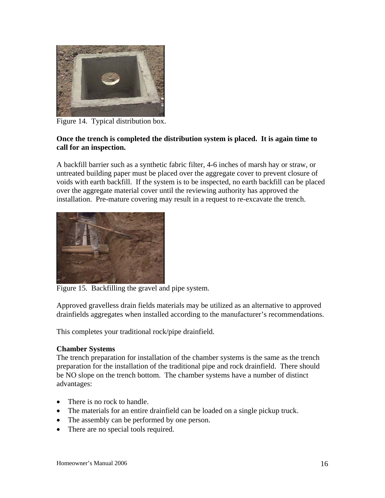

Figure 14. Typical distribution box.

## **Once the trench is completed the distribution system is placed. It is again time to call for an inspection.**

A backfill barrier such as a synthetic fabric filter, 4-6 inches of marsh hay or straw, or untreated building paper must be placed over the aggregate cover to prevent closure of voids with earth backfill. If the system is to be inspected, no earth backfill can be placed over the aggregate material cover until the reviewing authority has approved the installation. Pre-mature covering may result in a request to re-excavate the trench.



Figure 15. Backfilling the gravel and pipe system.

Approved gravelless drain fields materials may be utilized as an alternative to approved drainfields aggregates when installed according to the manufacturer's recommendations.

This completes your traditional rock/pipe drainfield.

## **Chamber Systems**

The trench preparation for installation of the chamber systems is the same as the trench preparation for the installation of the traditional pipe and rock drainfield. There should be NO slope on the trench bottom. The chamber systems have a number of distinct advantages:

- There is no rock to handle.
- The materials for an entire drainfield can be loaded on a single pickup truck.
- The assembly can be performed by one person.
- There are no special tools required.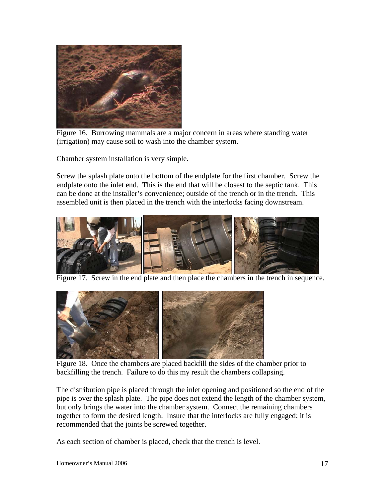

Figure 16. Burrowing mammals are a major concern in areas where standing water (irrigation) may cause soil to wash into the chamber system.

Chamber system installation is very simple.

Screw the splash plate onto the bottom of the endplate for the first chamber. Screw the endplate onto the inlet end. This is the end that will be closest to the septic tank. This can be done at the installer's convenience; outside of the trench or in the trench. This assembled unit is then placed in the trench with the interlocks facing downstream.



Figure 17. Screw in the end plate and then place the chambers in the trench in sequence.



 Figure 18. Once the chambers are placed backfill the sides of the chamber prior to backfilling the trench. Failure to do this my result the chambers collapsing.

The distribution pipe is placed through the inlet opening and positioned so the end of the pipe is over the splash plate. The pipe does not extend the length of the chamber system, but only brings the water into the chamber system. Connect the remaining chambers together to form the desired length. Insure that the interlocks are fully engaged; it is recommended that the joints be screwed together.

As each section of chamber is placed, check that the trench is level.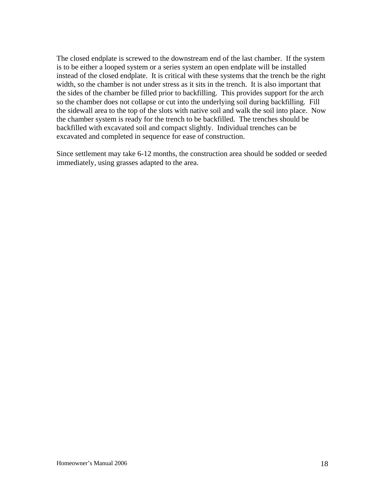The closed endplate is screwed to the downstream end of the last chamber. If the system is to be either a looped system or a series system an open endplate will be installed instead of the closed endplate. It is critical with these systems that the trench be the right width, so the chamber is not under stress as it sits in the trench. It is also important that the sides of the chamber be filled prior to backfilling. This provides support for the arch so the chamber does not collapse or cut into the underlying soil during backfilling. Fill the sidewall area to the top of the slots with native soil and walk the soil into place. Now the chamber system is ready for the trench to be backfilled. The trenches should be backfilled with excavated soil and compact slightly. Individual trenches can be excavated and completed in sequence for ease of construction.

Since settlement may take 6-12 months, the construction area should be sodded or seeded immediately, using grasses adapted to the area.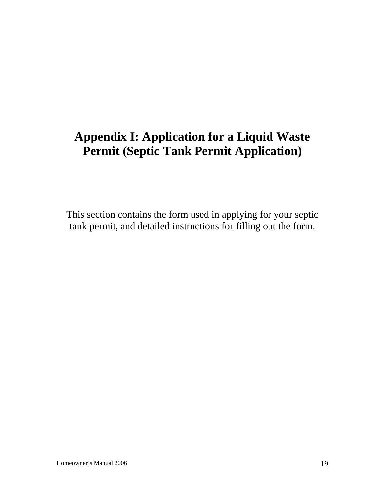## **Appendix I: Application for a Liquid Waste Permit (Septic Tank Permit Application)**

This section contains the form used in applying for your septic tank permit, and detailed instructions for filling out the form.